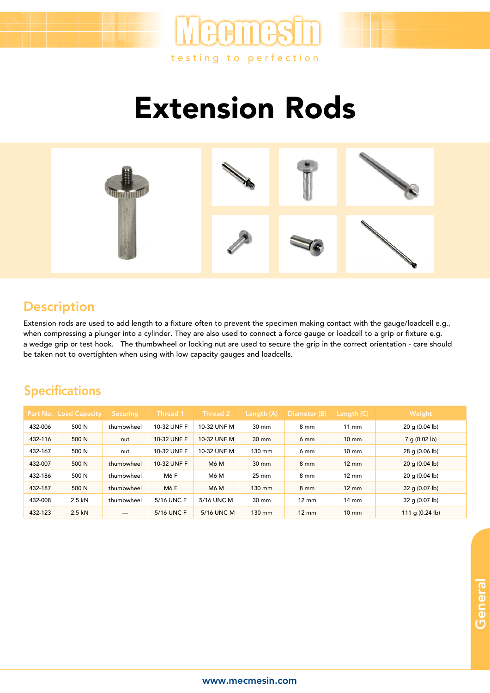

Extension Rods



## **Description**

Extension rods are used to add length to a fixture often to prevent the specimen making contact with the gauge/loadcell e.g., when compressing a plunger into a cylinder. They are also used to connect a force gauge or loadcell to a grip or fixture e.g. a wedge grip or test hook. The thumbwheel or locking nut are used to secure the grip in the correct orientation - care should be taken not to overtighten when using with low capacity gauges and loadcells.

## Specifications

|         | <b>Part No. Load Capacity</b> | <b>Securing</b> | Thread 1    | Thread 2    | (Length (A)     | Diameter (B)    | Length (C)      | Weight                    |
|---------|-------------------------------|-----------------|-------------|-------------|-----------------|-----------------|-----------------|---------------------------|
| 432-006 | 500 N                         | thumbwheel      | 10-32 UNF F | 10-32 UNF M | $30 \text{ mm}$ | $8 \text{ mm}$  | $11 \text{ mm}$ | $20$ g (0.04 lb)          |
| 432-116 | 500 N                         | nut             | 10-32 UNF F | 10-32 UNF M | $30 \text{ mm}$ | 6 <sub>mm</sub> | $10 \text{ mm}$ | 7 g (0.02 lb)             |
| 432-167 | 500 N                         | nut             | 10-32 UNF F | 10-32 UNF M | 130 mm          | 6 mm            | $10 \text{ mm}$ | $28$ g (0.06 lb)          |
| 432-007 | 500 N                         | thumbwheel      | 10-32 UNF F | <b>M6 M</b> | $30 \text{ mm}$ | 8 <sub>mm</sub> | $12 \text{ mm}$ | 20 g (0.04 lb)            |
| 432-186 | 500 N                         | thumbwheel      | <b>M6F</b>  | M6 M        | $25 \text{ mm}$ | 8 <sub>mm</sub> | $12 \text{ mm}$ | $20$ g (0.04 lb)          |
| 432-187 | 500 N                         | thumbwheel      | <b>M6F</b>  | <b>M6 M</b> | 130 mm          | $8 \text{ mm}$  | $12 \text{ mm}$ | 32 g (0.07 lb)            |
| 432-008 | 2.5 kN                        | thumbwheel      | 5/16 UNC F  | 5/16 UNC M  | $30 \text{ mm}$ | $12 \text{ mm}$ | $14 \text{ mm}$ | 32 g (0.07 lb)            |
| 432-123 | $2.5$ kN                      |                 | 5/16 UNC F  | 5/16 UNC M  | 130 mm          | $12 \text{ mm}$ | $10 \text{ mm}$ | 111 g $(0.24 \text{ lb})$ |